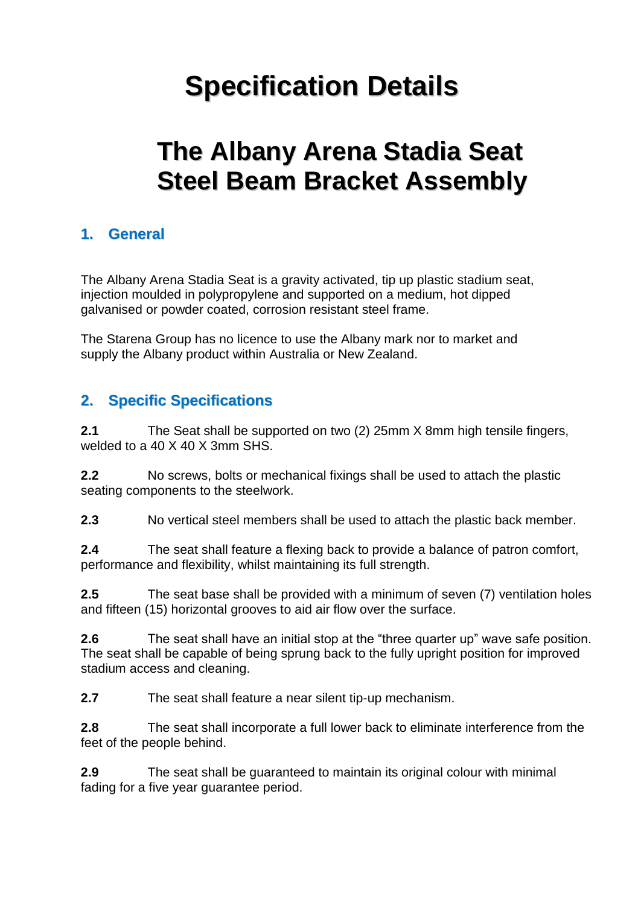# **Specification Details**

# **The Albany Arena Stadia Seat Steel Beam Bracket Assembly**

# **1. General**

The Albany Arena Stadia Seat is a gravity activated, tip up plastic stadium seat, injection moulded in polypropylene and supported on a medium, hot dipped galvanised or powder coated, corrosion resistant steel frame.

The Starena Group has no licence to use the Albany mark nor to market and supply the Albany product within Australia or New Zealand.

# **2. Specific Specifications**

**2.1** The Seat shall be supported on two (2) 25mm X 8mm high tensile fingers, welded to a 40 X 40 X 3mm SHS.

**2.2** No screws, bolts or mechanical fixings shall be used to attach the plastic seating components to the steelwork.

**2.3** No vertical steel members shall be used to attach the plastic back member.

**2.4** The seat shall feature a flexing back to provide a balance of patron comfort, performance and flexibility, whilst maintaining its full strength.

**2.5** The seat base shall be provided with a minimum of seven (7) ventilation holes and fifteen (15) horizontal grooves to aid air flow over the surface.

**2.6** The seat shall have an initial stop at the "three quarter up" wave safe position. The seat shall be capable of being sprung back to the fully upright position for improved stadium access and cleaning.

**2.7** The seat shall feature a near silent tip-up mechanism.

**2.8** The seat shall incorporate a full lower back to eliminate interference from the feet of the people behind.

**2.9** The seat shall be guaranteed to maintain its original colour with minimal fading for a five year guarantee period.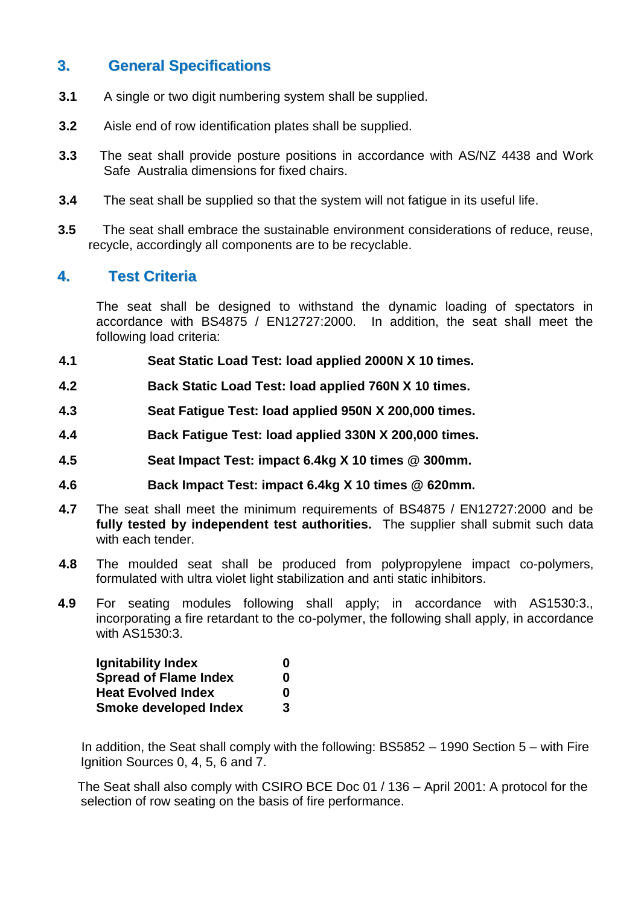#### **3. General Specifications**

- **3.1** A single or two digit numbering system shall be supplied.
- **3.2** Aisle end of row identification plates shall be supplied.
- **3.3** The seat shall provide posture positions in accordance with AS/NZ 4438 and Work Safe Australia dimensions for fixed chairs.
- **3.4** The seat shall be supplied so that the system will not fatigue in its useful life.
- **3.5** The seat shall embrace the sustainable environment considerations of reduce, reuse, recycle, accordingly all components are to be recyclable.

#### **4. Test Criteria**

The seat shall be designed to withstand the dynamic loading of spectators in accordance with BS4875 / EN12727:2000. In addition, the seat shall meet the following load criteria:

- **4.1 Seat Static Load Test: load applied 2000N X 10 times.**
- **4.2 Back Static Load Test: load applied 760N X 10 times.**
- **4.3 Seat Fatigue Test: load applied 950N X 200,000 times.**
- **4.4 Back Fatigue Test: load applied 330N X 200,000 times.**
- **4.5 Seat Impact Test: impact 6.4kg X 10 times @ 300mm.**
- **4.6 Back Impact Test: impact 6.4kg X 10 times @ 620mm.**
- **4.7** The seat shall meet the minimum requirements of BS4875 / EN12727:2000 and be **fully tested by independent test authorities.** The supplier shall submit such data with each tender.
- **4.8** The moulded seat shall be produced from polypropylene impact co-polymers, formulated with ultra violet light stabilization and anti static inhibitors.
- **4.9** For seating modules following shall apply; in accordance with AS1530:3., incorporating a fire retardant to the co-polymer, the following shall apply, in accordance with AS1530:3.

| Ignitability Index           | 0 |
|------------------------------|---|
| <b>Spread of Flame Index</b> | 0 |
| <b>Heat Evolved Index</b>    | 0 |
| <b>Smoke developed Index</b> | 3 |

 In addition, the Seat shall comply with the following: BS5852 – 1990 Section 5 – with Fire Ignition Sources 0, 4, 5, 6 and 7.

 The Seat shall also comply with CSIRO BCE Doc 01 / 136 – April 2001: A protocol for the selection of row seating on the basis of fire performance.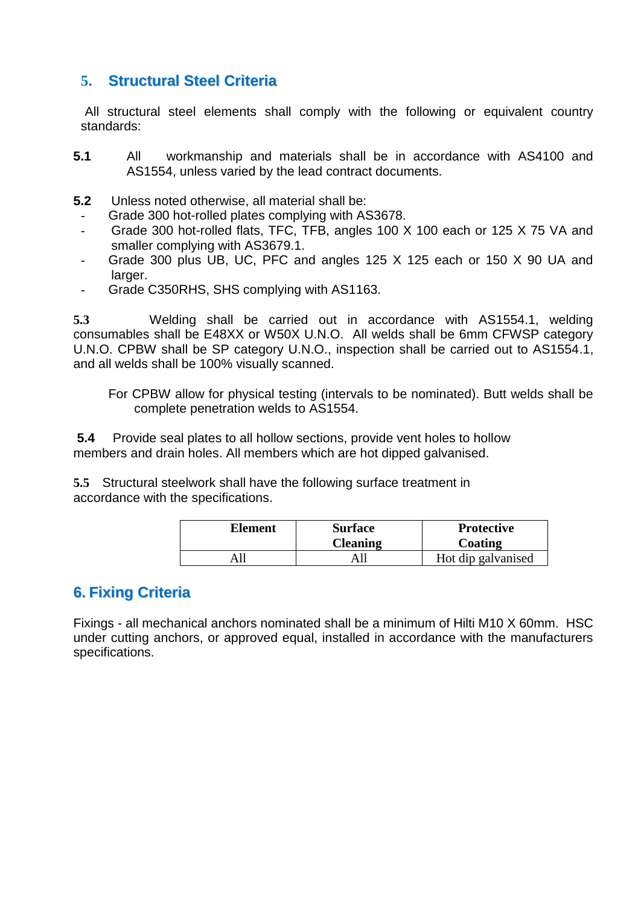#### **5. Structural Steel Criteria**

 All structural steel elements shall comply with the following or equivalent country standards:

- **5.1** All workmanship and materials shall be in accordance with AS4100 and AS1554, unless varied by the lead contract documents.
- **5.2** Unless noted otherwise, all material shall be:
- Grade 300 hot-rolled plates complying with AS3678.
- Grade 300 hot-rolled flats, TFC, TFB, angles 100 X 100 each or 125 X 75 VA and smaller complying with AS3679.1.
- Grade 300 plus UB, UC, PFC and angles 125 X 125 each or 150 X 90 UA and larger.
- Grade C350RHS, SHS complying with AS1163.

**5.3** Welding shall be carried out in accordance with AS1554.1, welding consumables shall be E48XX or W50X U.N.O. All welds shall be 6mm CFWSP category U.N.O. CPBW shall be SP category U.N.O., inspection shall be carried out to AS1554.1, and all welds shall be 100% visually scanned.

For CPBW allow for physical testing (intervals to be nominated). Butt welds shall be complete penetration welds to AS1554.

**5.4** Provide seal plates to all hollow sections, provide vent holes to hollow members and drain holes. All members which are hot dipped galvanised.

**5.5** Structural steelwork shall have the following surface treatment in accordance with the specifications.

| Element | <b>Surface</b><br><b>Cleaning</b> | <b>Protective</b><br>Coating |
|---------|-----------------------------------|------------------------------|
|         |                                   | Hot dip galvanised           |

# **6. Fixing Criteria**

Fixings - all mechanical anchors nominated shall be a minimum of Hilti M10 X 60mm. HSC under cutting anchors, or approved equal, installed in accordance with the manufacturers specifications.